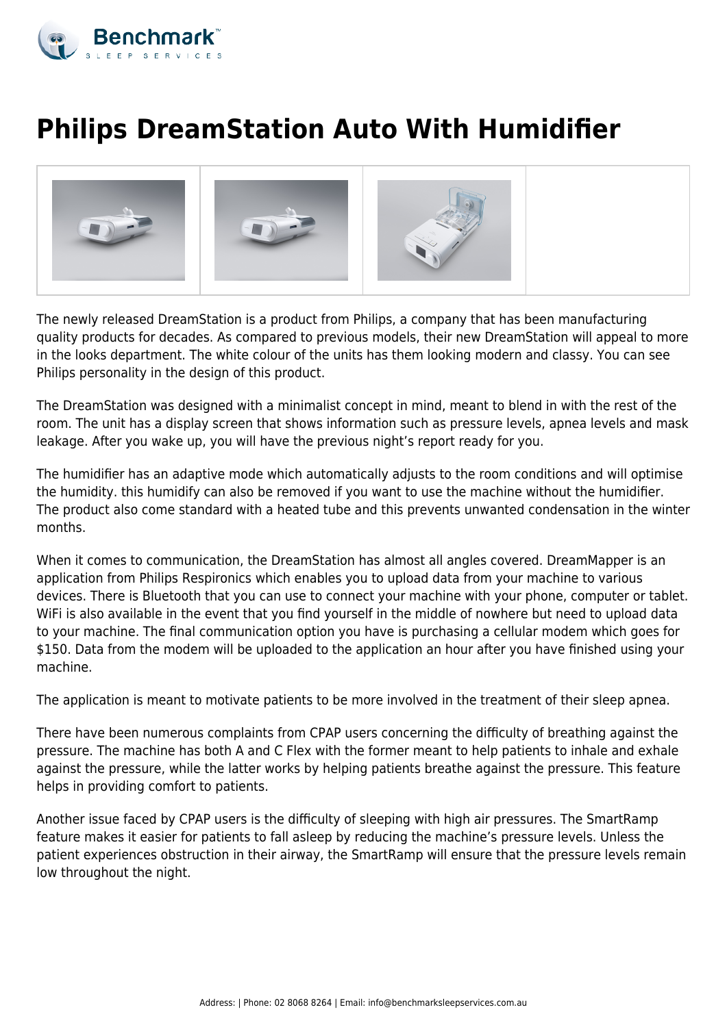

## **Philips DreamStation Auto With Humidifier**



The newly released DreamStation is a product from Philips, a company that has been manufacturing quality products for decades. As compared to previous models, their new DreamStation will appeal to more in the looks department. The white colour of the units has them looking modern and classy. You can see Philips personality in the design of this product.

The DreamStation was designed with a minimalist concept in mind, meant to blend in with the rest of the room. The unit has a display screen that shows information such as pressure levels, apnea levels and mask leakage. After you wake up, you will have the previous night's report ready for you.

The humidifier has an adaptive mode which automatically adjusts to the room conditions and will optimise the humidity. this humidify can also be removed if you want to use the machine without the humidifier. The product also come standard with a heated tube and this prevents unwanted condensation in the winter months.

When it comes to communication, the DreamStation has almost all angles covered. DreamMapper is an application from Philips Respironics which enables you to upload data from your machine to various devices. There is Bluetooth that you can use to connect your machine with your phone, computer or tablet. WiFi is also available in the event that you find yourself in the middle of nowhere but need to upload data to your machine. The final communication option you have is purchasing a cellular modem which goes for \$150. Data from the modem will be uploaded to the application an hour after you have finished using your machine.

The application is meant to motivate patients to be more involved in the treatment of their sleep apnea.

There have been numerous complaints from CPAP users concerning the difficulty of breathing against the pressure. The machine has both A and C Flex with the former meant to help patients to inhale and exhale against the pressure, while the latter works by helping patients breathe against the pressure. This feature helps in providing comfort to patients.

Another issue faced by CPAP users is the difficulty of sleeping with high air pressures. The SmartRamp feature makes it easier for patients to fall asleep by reducing the machine's pressure levels. Unless the patient experiences obstruction in their airway, the SmartRamp will ensure that the pressure levels remain low throughout the night.